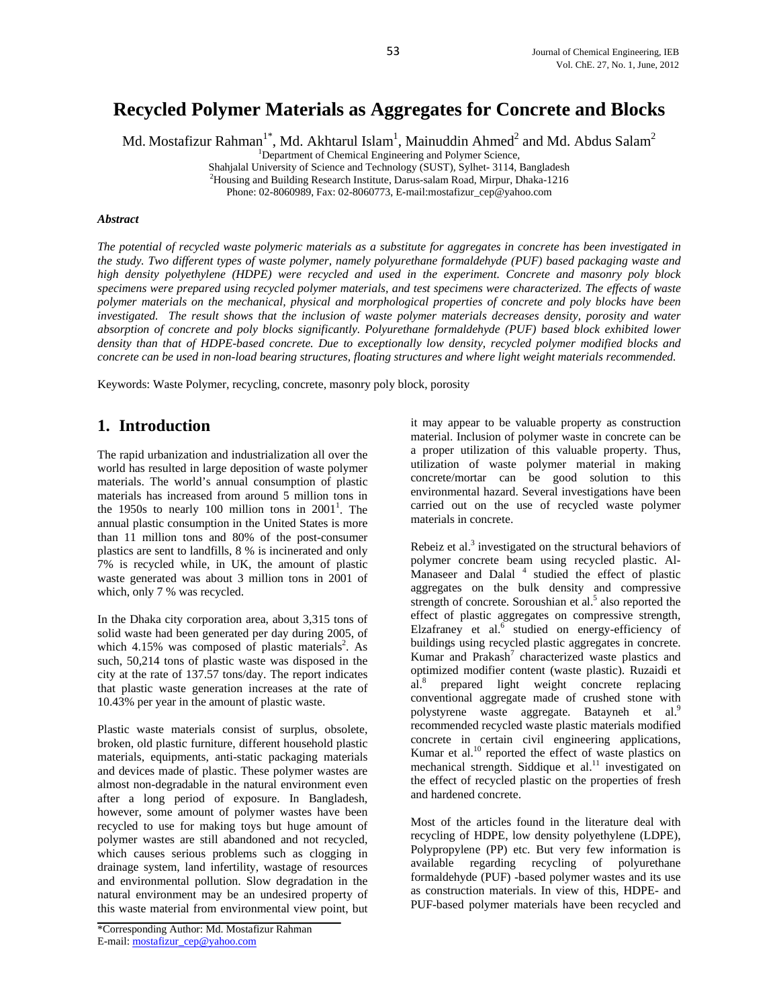# **Recycled Polymer Materials as Aggregates for Concrete and Blocks**

Md. Mostafizur Rahman<sup>1\*</sup>, Md. Akhtarul Islam<sup>1</sup>, Mainuddin Ahmed<sup>2</sup> and Md. Abdus Salam<sup>2</sup>

<sup>1</sup>Department of Chemical Engineering and Polymer Science,

Shahjalal University of Science and Technology (SUST), Sylhet- 3114, Bangladesh 2 <sup>2</sup>Housing and Building Research Institute, Darus-salam Road, Mirpur, Dhaka-1216 Phone: 02-8060989, Fax: 02-8060773, E-mail:mostafizur\_cep@yahoo.com

#### *Abstract*

*The potential of recycled waste polymeric materials as a substitute for aggregates in concrete has been investigated in the study. Two different types of waste polymer, namely polyurethane formaldehyde (PUF) based packaging waste and high density polyethylene (HDPE) were recycled and used in the experiment. Concrete and masonry poly block specimens were prepared using recycled polymer materials, and test specimens were characterized. The effects of waste polymer materials on the mechanical, physical and morphological properties of concrete and poly blocks have been investigated. The result shows that the inclusion of waste polymer materials decreases density, porosity and water absorption of concrete and poly blocks significantly. Polyurethane formaldehyde (PUF) based block exhibited lower density than that of HDPE-based concrete. Due to exceptionally low density, recycled polymer modified blocks and concrete can be used in non-load bearing structures, floating structures and where light weight materials recommended.* 

Keywords: Waste Polymer, recycling, concrete, masonry poly block, porosity

## **1. Introduction**

The rapid urbanization and industrialization all over the world has resulted in large deposition of waste polymer materials. The world's annual consumption of plastic materials has increased from around 5 million tons in the 1950s to nearly 100 million tons in  $2001<sup>1</sup>$ . The annual plastic consumption in the United States is more than 11 million tons and 80% of the post-consumer plastics are sent to landfills, 8 % is incinerated and only 7% is recycled while, in UK, the amount of plastic waste generated was about 3 million tons in 2001 of which, only 7 % was recycled.

In the Dhaka city corporation area, about 3,315 tons of solid waste had been generated per day during 2005, of which  $4.15\%$  was composed of plastic materials<sup>2</sup>. As such, 50,214 tons of plastic waste was disposed in the city at the rate of 137.57 tons/day. The report indicates that plastic waste generation increases at the rate of 10.43% per year in the amount of plastic waste.

Plastic waste materials consist of surplus, obsolete, broken, old plastic furniture, different household plastic materials, equipments, anti-static packaging materials and devices made of plastic. These polymer wastes are almost non-degradable in the natural environment even after a long period of exposure. In Bangladesh, however, some amount of polymer wastes have been recycled to use for making toys but huge amount of polymer wastes are still abandoned and not recycled, which causes serious problems such as clogging in drainage system, land infertility, wastage of resources and environmental pollution. Slow degradation in the natural environment may be an undesired property of this waste material from environmental view point, but it may appear to be valuable property as construction material. Inclusion of polymer waste in concrete can be a proper utilization of this valuable property. Thus, utilization of waste polymer material in making concrete/mortar can be good solution to this environmental hazard. Several investigations have been carried out on the use of recycled waste polymer materials in concrete.

Rebeiz et al. $3$  investigated on the structural behaviors of polymer concrete beam using recycled plastic. Al-Manaseer and Dalal  $4$  studied the effect of plastic aggregates on the bulk density and compressive strength of concrete. Soroushian et al.<sup>5</sup> also reported the effect of plastic aggregates on compressive strength, Elzafraney et al.<sup>6</sup> studied on energy-efficiency of buildings using recycled plastic aggregates in concrete. Kumar and Prakash<sup>7</sup> characterized waste plastics and optimized modifier content (waste plastic). Ruzaidi et al.<sup>8</sup> prepared light weight concrete replacing conventional aggregate made of crushed stone with polystyrene waste aggregate. Batayneh et al.<sup>9</sup> recommended recycled waste plastic materials modified concrete in certain civil engineering applications, Kumar et al. $10$  reported the effect of waste plastics on mechanical strength. Siddique et al.<sup>11</sup> investigated on the effect of recycled plastic on the properties of fresh and hardened concrete.

Most of the articles found in the literature deal with recycling of HDPE, low density polyethylene (LDPE), Polypropylene (PP) etc. But very few information is available regarding recycling of polyurethane formaldehyde (PUF) -based polymer wastes and its use as construction materials. In view of this, HDPE- and PUF-based polymer materials have been recycled and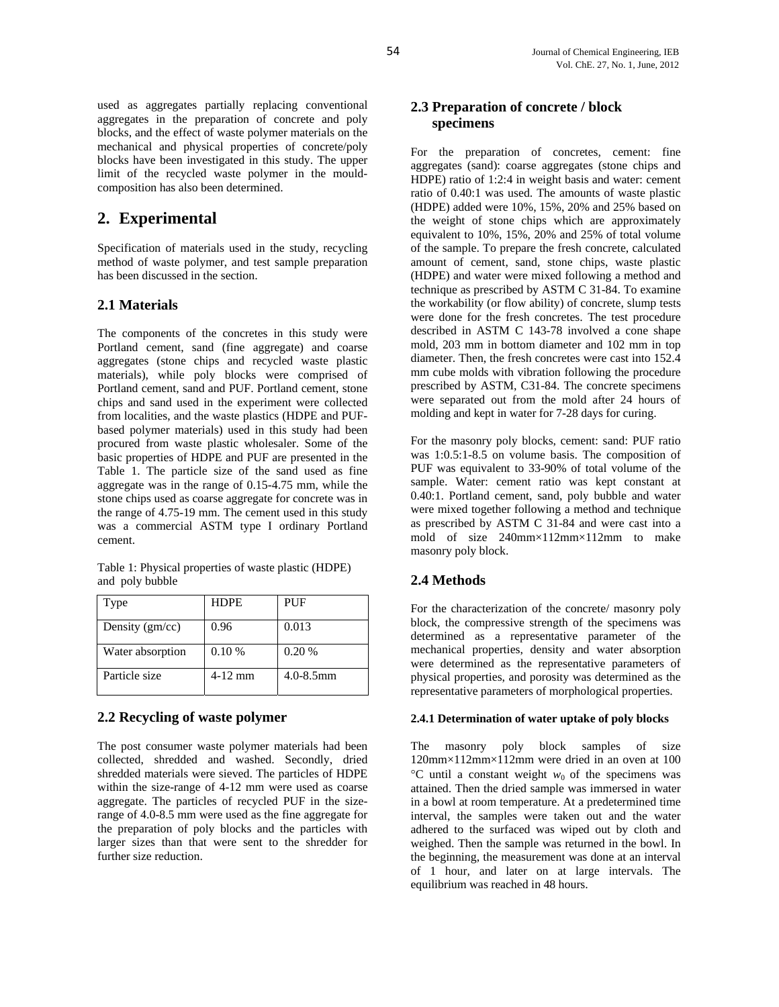used as aggregates partially replacing conventional aggregates in the preparation of concrete and poly blocks, and the effect of waste polymer materials on the mechanical and physical properties of concrete/poly blocks have been investigated in this study. The upper limit of the recycled waste polymer in the mouldcomposition has also been determined.

# **2. Experimental**

Specification of materials used in the study, recycling method of waste polymer, and test sample preparation has been discussed in the section.

#### **2.1 Materials**

The components of the concretes in this study were Portland cement, sand (fine aggregate) and coarse aggregates (stone chips and recycled waste plastic materials), while poly blocks were comprised of Portland cement, sand and PUF. Portland cement, stone chips and sand used in the experiment were collected from localities, and the waste plastics (HDPE and PUFbased polymer materials) used in this study had been procured from waste plastic wholesaler. Some of the basic properties of HDPE and PUF are presented in the Table 1. The particle size of the sand used as fine aggregate was in the range of 0.15-4.75 mm, while the stone chips used as coarse aggregate for concrete was in the range of 4.75-19 mm. The cement used in this study was a commercial ASTM type I ordinary Portland cement.

| and pory bubble   |             |       |
|-------------------|-------------|-------|
| Type              | <b>HDPE</b> | PUF   |
| Density $(gm/cc)$ | 0.96        | 0.013 |

Water absorption  $\boxed{0.10 \%}$  0.20 %

Particle size  $\vert$  4-12 mm  $\vert$  4.0-8.5mm

Table 1: Physical properties of waste plastic (HDPE) and poly bubble

#### **2.2 Recycling of waste polymer**

The post consumer waste polymer materials had been collected, shredded and washed. Secondly, dried shredded materials were sieved. The particles of HDPE within the size-range of 4-12 mm were used as coarse aggregate. The particles of recycled PUF in the sizerange of 4.0-8.5 mm were used as the fine aggregate for the preparation of poly blocks and the particles with larger sizes than that were sent to the shredder for further size reduction.

### **2.3 Preparation of concrete / block specimens**

For the preparation of concretes, cement: fine aggregates (sand): coarse aggregates (stone chips and HDPE) ratio of 1:2:4 in weight basis and water: cement ratio of 0.40:1 was used. The amounts of waste plastic (HDPE) added were 10%, 15%, 20% and 25% based on the weight of stone chips which are approximately equivalent to 10%, 15%, 20% and 25% of total volume of the sample. To prepare the fresh concrete, calculated amount of cement, sand, stone chips, waste plastic (HDPE) and water were mixed following a method and technique as prescribed by ASTM C 31-84. To examine the workability (or flow ability) of concrete, slump tests were done for the fresh concretes. The test procedure described in ASTM C 143-78 involved a cone shape mold, 203 mm in bottom diameter and 102 mm in top diameter. Then, the fresh concretes were cast into 152.4 mm cube molds with vibration following the procedure prescribed by ASTM, C31-84. The concrete specimens were separated out from the mold after 24 hours of molding and kept in water for 7-28 days for curing.

For the masonry poly blocks, cement: sand: PUF ratio was 1:0.5:1-8.5 on volume basis. The composition of PUF was equivalent to 33-90% of total volume of the sample. Water: cement ratio was kept constant at 0.40:1. Portland cement, sand, poly bubble and water were mixed together following a method and technique as prescribed by ASTM C 31-84 and were cast into a mold of size 240mm×112mm×112mm to make masonry poly block.

### **2.4 Methods**

For the characterization of the concrete/ masonry poly block, the compressive strength of the specimens was determined as a representative parameter of the mechanical properties, density and water absorption were determined as the representative parameters of physical properties, and porosity was determined as the representative parameters of morphological properties.

#### **2.4.1 Determination of water uptake of poly blocks**

The masonry poly block samples of size 120mm×112mm×112mm were dried in an oven at 100  $\rm{^{\circ}C}$  until a constant weight  $w_0$  of the specimens was attained. Then the dried sample was immersed in water in a bowl at room temperature. At a predetermined time interval, the samples were taken out and the water adhered to the surfaced was wiped out by cloth and weighed. Then the sample was returned in the bowl. In the beginning, the measurement was done at an interval of 1 hour, and later on at large intervals. The equilibrium was reached in 48 hours.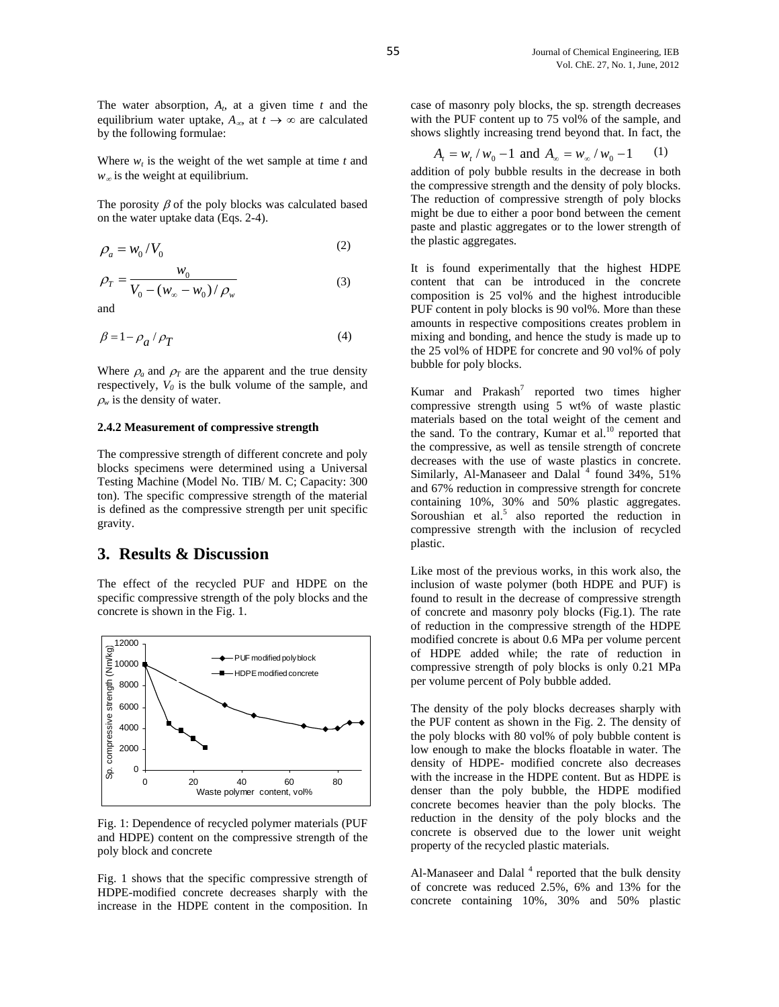The water absorption,  $A_t$ , at a given time  $t$  and the equilibrium water uptake,  $A_{\infty}$  at  $t \to \infty$  are calculated by the following formulae:

Where  $w_t$  is the weight of the wet sample at time  $t$  and *w*∞ is the weight at equilibrium.

The porosity  $\beta$  of the poly blocks was calculated based on the water uptake data (Eqs. 2-4).

$$
\rho_a = w_0 / V_0 \tag{2}
$$

$$
\rho_T = \frac{w_0}{V_0 - (w_\infty - w_0) / \rho_w}
$$
\n(3)

and

$$
\beta = 1 - \rho_a / \rho_T \tag{4}
$$

Where  $\rho_a$  and  $\rho_T$  are the apparent and the true density respectively, *V0* is the bulk volume of the sample, and  $\rho_w$  is the density of water.

#### **2.4.2 Measurement of compressive strength**

The compressive strength of different concrete and poly blocks specimens were determined using a Universal Testing Machine (Model No. TIB/ M. C; Capacity: 300 ton). The specific compressive strength of the material is defined as the compressive strength per unit specific gravity.

#### **3. Results & Discussion**

The effect of the recycled PUF and HDPE on the specific compressive strength of the poly blocks and the concrete is shown in the Fig. 1.



Fig. 1: Dependence of recycled polymer materials (PUF and HDPE) content on the compressive strength of the poly block and concrete

Fig. 1 shows that the specific compressive strength of HDPE-modified concrete decreases sharply with the increase in the HDPE content in the composition. In

case of masonry poly blocks, the sp. strength decreases with the PUF content up to 75 vol% of the sample, and shows slightly increasing trend beyond that. In fact, the

$$
A_t = w_t / w_0 - 1 \text{ and } A_{\infty} = w_{\infty} / w_0 - 1 \qquad (1)
$$

addition of poly bubble results in the decrease in both the compressive strength and the density of poly blocks. The reduction of compressive strength of poly blocks might be due to either a poor bond between the cement paste and plastic aggregates or to the lower strength of the plastic aggregates.

It is found experimentally that the highest HDPE content that can be introduced in the concrete composition is 25 vol% and the highest introducible PUF content in poly blocks is 90 vol%. More than these amounts in respective compositions creates problem in mixing and bonding, and hence the study is made up to the 25 vol% of HDPE for concrete and 90 vol% of poly bubble for poly blocks.

Kumar and  $Prakash^7$  reported two times higher compressive strength using 5 wt% of waste plastic materials based on the total weight of the cement and the sand. To the contrary, Kumar et al. $^{10}$  reported that the compressive, as well as tensile strength of concrete decreases with the use of waste plastics in concrete. Similarly, Al-Manaseer and Dalal<sup> $4$ </sup> found 34%, 51% and 67% reduction in compressive strength for concrete containing 10%, 30% and 50% plastic aggregates. Soroushian et al. $5$  also reported the reduction in compressive strength with the inclusion of recycled plastic.

Like most of the previous works, in this work also, the inclusion of waste polymer (both HDPE and PUF) is found to result in the decrease of compressive strength of concrete and masonry poly blocks (Fig.1). The rate of reduction in the compressive strength of the HDPE modified concrete is about 0.6 MPa per volume percent of HDPE added while; the rate of reduction in compressive strength of poly blocks is only 0.21 MPa per volume percent of Poly bubble added.

The density of the poly blocks decreases sharply with the PUF content as shown in the Fig. 2. The density of the poly blocks with 80 vol% of poly bubble content is low enough to make the blocks floatable in water. The density of HDPE- modified concrete also decreases with the increase in the HDPE content. But as HDPE is denser than the poly bubble, the HDPE modified concrete becomes heavier than the poly blocks. The reduction in the density of the poly blocks and the concrete is observed due to the lower unit weight property of the recycled plastic materials.

Al-Manaseer and Dalal<sup>4</sup> reported that the bulk density of concrete was reduced 2.5%, 6% and 13% for the concrete containing 10%, 30% and 50% plastic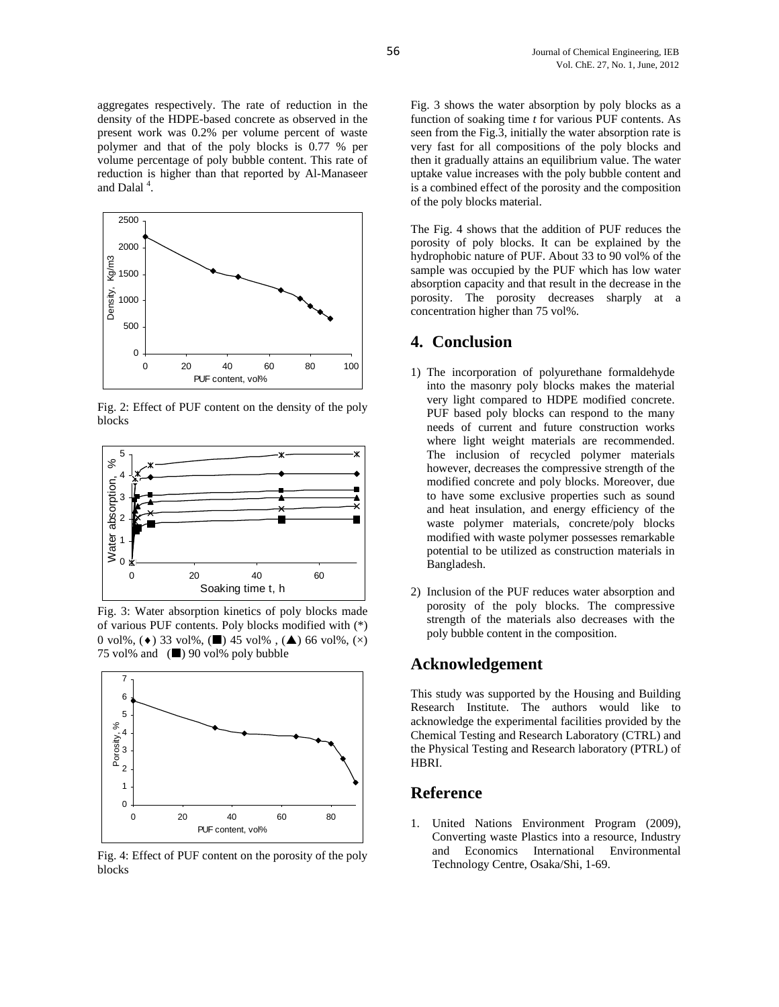aggregates respectively. The rate of reduction in the density of the HDPE-based concrete as observed in the present work was 0.2% per volume percent of waste polymer and that of the poly blocks is 0.77 % per volume percentage of poly bubble content. This rate of reduction is higher than that reported by Al-Manaseer and Dalal<sup>4</sup>.



Fig. 2: Effect of PUF content on the density of the poly blocks



Fig. 3: Water absorption kinetics of poly blocks made of various PUF contents. Poly blocks modified with (\*) 0 vol%, ( $\bullet$ ) 33 vol%, ( $\blacksquare$ ) 45 vol% , ( $\blacktriangle$ ) 66 vol%, (x) 75 vol% and  $(\blacksquare)$  90 vol% poly bubble



Fig. 4: Effect of PUF content on the porosity of the poly blocks

Fig. 3 shows the water absorption by poly blocks as a function of soaking time *t* for various PUF contents. As seen from the Fig.3, initially the water absorption rate is very fast for all compositions of the poly blocks and then it gradually attains an equilibrium value. The water uptake value increases with the poly bubble content and is a combined effect of the porosity and the composition of the poly blocks material.

The Fig. 4 shows that the addition of PUF reduces the porosity of poly blocks. It can be explained by the hydrophobic nature of PUF. About 33 to 90 vol% of the sample was occupied by the PUF which has low water absorption capacity and that result in the decrease in the porosity. The porosity decreases sharply at a concentration higher than 75 vol%.

#### **4. Conclusion**

- 1) The incorporation of polyurethane formaldehyde into the masonry poly blocks makes the material very light compared to HDPE modified concrete. PUF based poly blocks can respond to the many needs of current and future construction works where light weight materials are recommended. The inclusion of recycled polymer materials however, decreases the compressive strength of the modified concrete and poly blocks. Moreover, due to have some exclusive properties such as sound and heat insulation, and energy efficiency of the waste polymer materials, concrete/poly blocks modified with waste polymer possesses remarkable potential to be utilized as construction materials in Bangladesh.
- 2) Inclusion of the PUF reduces water absorption and porosity of the poly blocks. The compressive strength of the materials also decreases with the poly bubble content in the composition.

### **Acknowledgement**

This study was supported by the Housing and Building Research Institute. The authors would like to acknowledge the experimental facilities provided by the Chemical Testing and Research Laboratory (CTRL) and the Physical Testing and Research laboratory (PTRL) of HBRI.

#### **Reference**

1. United Nations Environment Program (2009), Converting waste Plastics into a resource, Industry and Economics International Environmental Technology Centre, Osaka/Shi, 1-69.